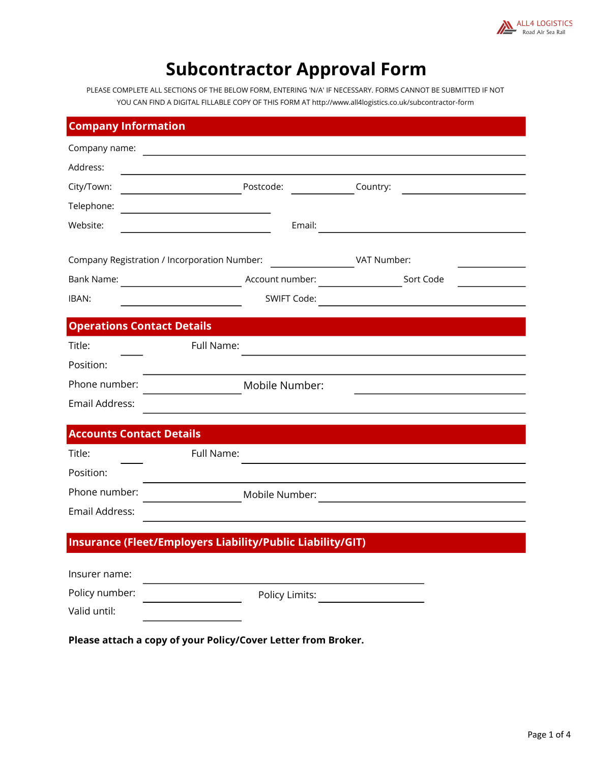

# Subcontractor Approval Form

PLEASE COMPLETE ALL SECTIONS OF THE BELOW FORM, ENTERING 'N/A' IF NECESSARY. FORMS CANNOT BE SUBMITTED IF NOT YOU CAN FIND A DIGITAL FILLABLE COPY OF THIS FORM AT http://www.all4logistics.co.uk/subcontractor-form

| <b>Company Information</b>                   |                                                               |             |
|----------------------------------------------|---------------------------------------------------------------|-------------|
| Company name:                                |                                                               |             |
| Address:                                     | <u> 1989 - Johann Stoff, Amerikaansk politiker (</u>          |             |
| City/Town:                                   | Postcode:                                                     | Country:    |
| Telephone:                                   |                                                               |             |
| Website:                                     | Email:<br>the control of the control of the control of the    |             |
| Company Registration / Incorporation Number: |                                                               | VAT Number: |
| Bank Name:                                   | Account number:                                               | Sort Code   |
| IBAN:                                        | SWIFT Code:                                                   |             |
| <b>Operations Contact Details</b>            |                                                               |             |
| Title:                                       | Full Name:                                                    |             |
| Position:                                    |                                                               |             |
| Phone number:                                | Mobile Number:                                                |             |
| Email Address:                               |                                                               |             |
| <b>Accounts Contact Details</b>              |                                                               |             |
| Title:                                       | Full Name:                                                    |             |
| Position:                                    |                                                               |             |
| Phone number:                                | Mobile Number:                                                |             |
| Email Address:                               |                                                               |             |
|                                              | Insurance (Fleet/Employers Liability/Public Liability/GIT)    |             |
|                                              |                                                               |             |
| Insurer name:                                |                                                               |             |
| Policy number:<br>Valid until:               | Policy Limits:                                                |             |
|                                              |                                                               |             |
|                                              | Please attach a copy of your Policy/Cover Letter from Broker. |             |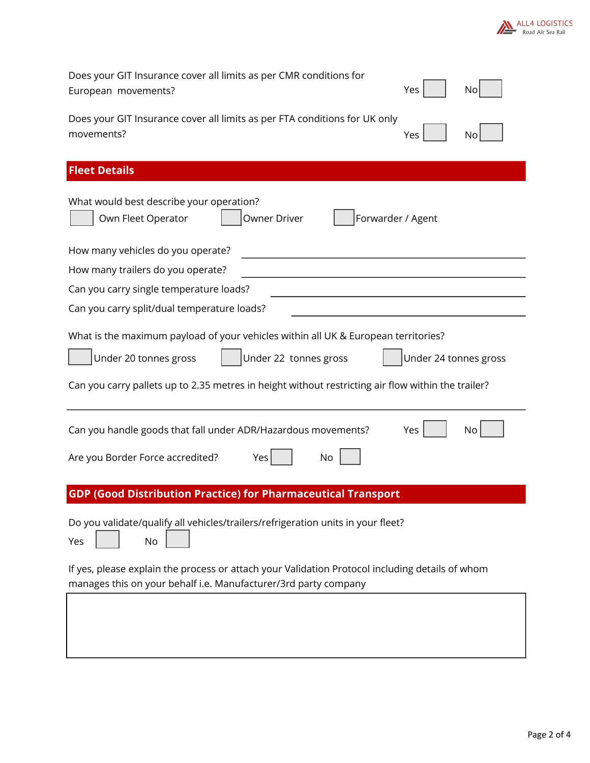

| Does your GIT Insurance cover all limits as per CMR conditions for<br>European movements?                                                                                                                                                                           | Yes                   | No |
|---------------------------------------------------------------------------------------------------------------------------------------------------------------------------------------------------------------------------------------------------------------------|-----------------------|----|
| Does your GIT Insurance cover all limits as per FTA conditions for UK only<br>movements?                                                                                                                                                                            | Yes                   | No |
| <b>Fleet Details</b>                                                                                                                                                                                                                                                |                       |    |
| What would best describe your operation?<br>Own Fleet Operator<br>Owner Driver<br>Forwarder / Agent                                                                                                                                                                 |                       |    |
| How many vehicles do you operate?                                                                                                                                                                                                                                   |                       |    |
| How many trailers do you operate?                                                                                                                                                                                                                                   |                       |    |
| Can you carry single temperature loads?                                                                                                                                                                                                                             |                       |    |
| Can you carry split/dual temperature loads?                                                                                                                                                                                                                         |                       |    |
| What is the maximum payload of your vehicles within all UK & European territories?<br>Under 22 tonnes gross<br>Under 20 tonnes gross<br>Can you carry pallets up to 2.35 metres in height without restricting air flow within the trailer?                          | Under 24 tonnes gross |    |
| Can you handle goods that fall under ADR/Hazardous movements?<br>Are you Border Force accredited?<br>Yes<br>No                                                                                                                                                      | Yes                   | No |
| <b>GDP (Good Distribution Practice) for Pharmaceutical Transport</b>                                                                                                                                                                                                |                       |    |
| Do you validate/qualify all vehicles/trailers/refrigeration units in your fleet?<br>No<br>Yes<br>If yes, please explain the process or attach your Validation Protocol including details of whom<br>manages this on your behalf i.e. Manufacturer/3rd party company |                       |    |
|                                                                                                                                                                                                                                                                     |                       |    |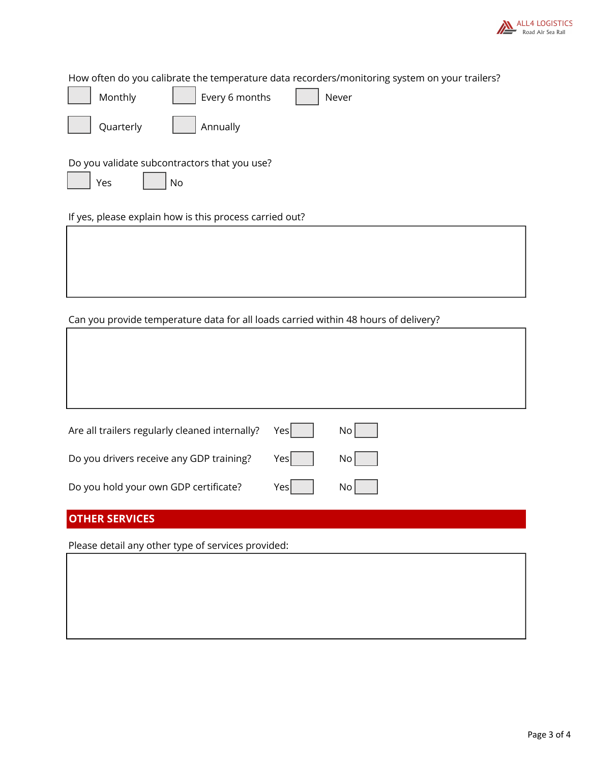

How often do you calibrate the temperature data recorders/monitoring system on your trailers?

| .<br>Every 6 months<br>Monthly<br>Never                   |
|-----------------------------------------------------------|
| Annually<br>Quarterly                                     |
| Do you validate subcontractors that you use?<br>Yes<br>No |
| If yes, please explain how is this process carried out?   |
|                                                           |

### Can you provide temperature data for all loads carried within 48 hours of delivery?

| Are all trailers regularly cleaned internally? | Yes | No   |
|------------------------------------------------|-----|------|
| Do you drivers receive any GDP training?       | Yes | No   |
| Do you hold your own GDP certificate?          | Yes | No l |
|                                                |     |      |

## OTHER SERVICES

I

Please detail any other type of services provided: